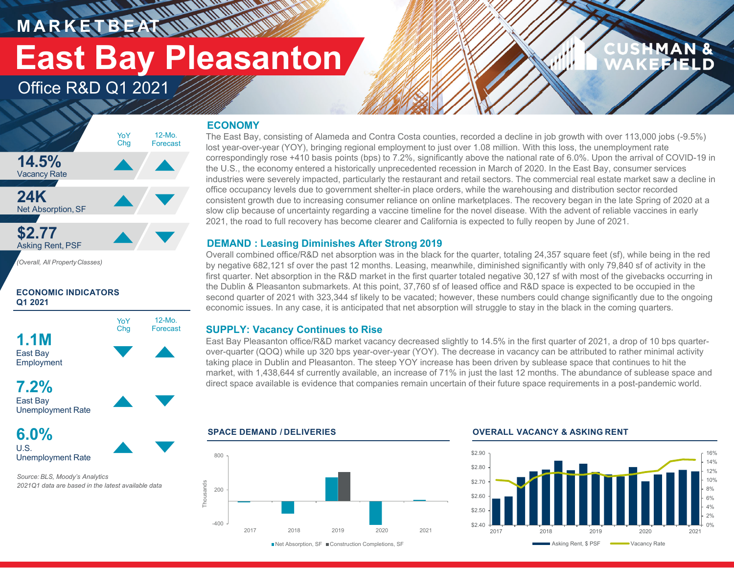**M A R K E T B E AT**

# **East Bay Pleasanton**

12-Mo.Forecast

### Office R&D Q1 2021

### **ECONOMY**

**AT AN ANTARA** 



*(Overall, All PropertyClasses)*

#### **ECONOMIC INDICATORS Q1 2021**



#### **7.2%**East Bay Unemployment Rate

**6.0%**U.S.Unemployment Rate

*Source: BLS, Moody's Analytics 2021Q1 data are based in the latest available data* The East Bay, consisting of Alameda and Contra Costa counties, recorded a decline in job growth with over 113,000 jobs (-9.5%) lost year-over-year (YOY), bringing regional employment to just over 1.08 million. With this loss, the unemployment rate correspondingly rose +410 basis points (bps) to 7.2%, significantly above the national rate of 6.0%. Upon the arrival of COVID-19 in the U.S., the economy entered a historically unprecedented recession in March of 2020. In the East Bay, consumer services industries were severely impacted, particularly the restaurant and retail sectors. The commercial real estate market saw a decline in office occupancy levels due to government shelter-in place orders, while the warehousing and distribution sector recorded consistent growth due to increasing consumer reliance on online marketplaces. The recovery began in the late Spring of 2020 at a slow clip because of uncertainty regarding a vaccine timeline for the novel disease. With the advent of reliable vaccines in early 2021, the road to full recovery has become clearer and California is expected to fully reopen by June of 2021.

#### **DEMAND : Leasing Diminishes After Strong 2019**

Overall combined office/R&D net absorption was in the black for the quarter, totaling 24,357 square feet (sf), while being in the red by negative 682,121 sf over the past 12 months. Leasing, meanwhile, diminished significantly with only 79,840 sf of activity in the first quarter. Net absorption in the R&D market in the first quarter totaled negative 30,127 sf with most of the givebacks occurring in the Dublin & Pleasanton submarkets. At this point, 37,760 sf of leased office and R&D space is expected to be occupied in the second quarter of 2021 with 323,344 sf likely to be vacated; however, these numbers could change significantly due to the ongoing economic issues. In any case, it is anticipated that net absorption will struggle to stay in the black in the coming quarters.

#### **SUPPLY: Vacancy Continues to Rise**

East Bay Pleasanton office/R&D market vacancy decreased slightly to 14.5% in the first quarter of 2021, a drop of 10 bps quarterover-quarter (QOQ) while up 320 bps year-over-year (YOY). The decrease in vacancy can be attributed to rather minimal activity taking place in Dublin and Pleasanton. The steep YOY increase has been driven by sublease space that continues to hit the market, with 1,438,644 sf currently available, an increase of 71% in just the last 12 months. The abundance of sublease space and direct space available is evidence that companies remain uncertain of their future space requirements in a post-pandemic world.



■Net Absorption, SF ■ Construction Completions, SF

#### **SPACE DEMAND / DELIVERIES OVERALL VACANCY & ASKING RENT**



MAN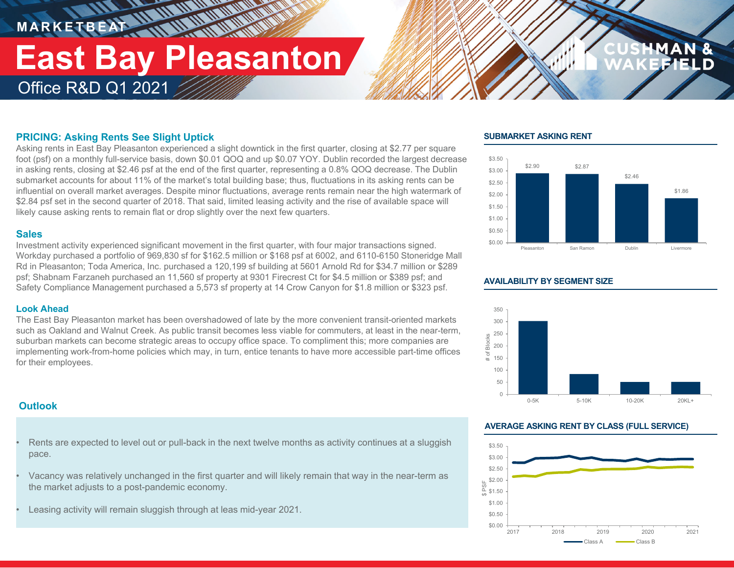### **M A R K E T B E AT** Office R&D Q1 2021 **East Bay Pleasanton**

*<u>MANTH</u>INE* 

#### **PRICING: Asking Rents See Slight Uptick**

Asking rents in East Bay Pleasanton experienced a slight downtick in the first quarter, closing at \$2.77 per square foot (psf) on a monthly full-service basis, down \$0.01 QOQ and up \$0.07 YOY. Dublin recorded the largest decrease in asking rents, closing at \$2.46 psf at the end of the first quarter, representing a 0.8% QOQ decrease. The Dublin submarket accounts for about 11% of the market's total building base; thus, fluctuations in its asking rents can be influential on overall market averages. Despite minor fluctuations, average rents remain near the high watermark of \$2.84 psf set in the second quarter of 2018. That said, limited leasing activity and the rise of available space will likely cause asking rents to remain flat or drop slightly over the next few quarters.

#### **Sales**

Investment activity experienced significant movement in the first quarter, with four major transactions signed. Workday purchased a portfolio of 969,830 sf for \$162.5 million or \$168 psf at 6002, and 6110-6150 Stoneridge Mall Rd in Pleasanton; Toda America, Inc. purchased a 120,199 sf building at 5601 Arnold Rd for \$34.7 million or \$289 psf; Shabnam Farzaneh purchased an 11,560 sf property at 9301 Firecrest Ct for \$4.5 million or \$389 psf; and Safety Compliance Management purchased a 5,573 sf property at 14 Crow Canyon for \$1.8 million or \$323 psf.

#### **Look Ahead**

The East Bay Pleasanton market has been overshadowed of late by the more convenient transit-oriented markets such as Oakland and Walnut Creek. As public transit becomes less viable for commuters, at least in the near-term, suburban markets can become strategic areas to occupy office space. To compliment this; more companies are implementing work-from-home policies which may, in turn, entice tenants to have more accessible part-time offices for their employees.

#### **Outlook**

- Rents are expected to level out or pull-back in the next twelve months as activity continues at a sluggish pace.
- Vacancy was relatively unchanged in the first quarter and will likely remain that way in the near-term as the market adjusts to a post-pandemic economy.
- Leasing activity will remain sluggish through at leas mid-year 2021.

#### **SUBMARKET ASKING RENT**



#### **AVAILABILITY BY SEGMENT SIZE**



#### **AVERAGE ASKING RENT BY CLASS (FULL SERVICE)**

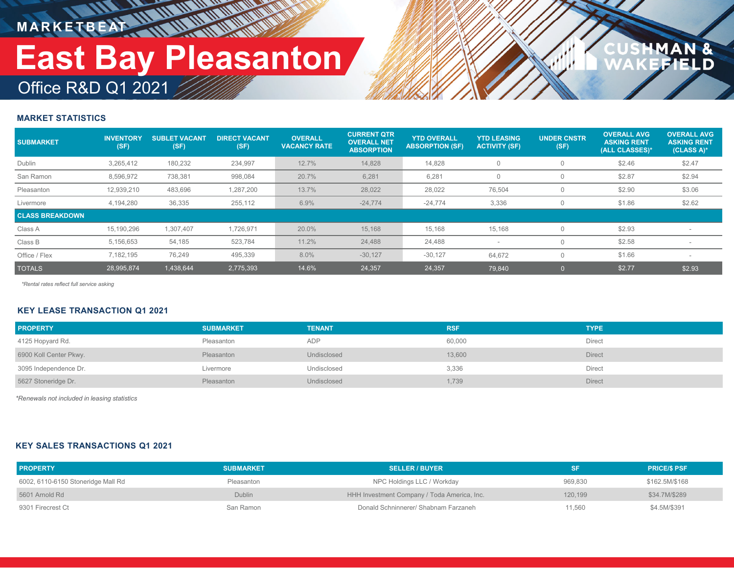**IN THE WAY M A R K E T B E AT**

# Office R&D Q1 2021 **East Bay Pleasanton**

## $\frac{a}{D}$

#### **MARKET STATISTICS**

| <b>SUBMARKET</b>       | <b>INVENTORY</b><br>(SF) | <b>SUBLET VACANT</b><br>(SF) | <b>DIRECT VACANT</b><br>(SF) | <b>OVERALL</b><br><b>VACANCY RATE</b> | <b>CURRENT QTR</b><br><b>OVERALL NET</b><br><b>ABSORPTION</b> | <b>YTD OVERALL</b><br><b>ABSORPTION (SF)</b> | <b>YTD LEASING</b><br><b>ACTIVITY (SF)</b> | <b>UNDER CNSTR</b><br>(SF) | <b>OVERALL AVG</b><br><b>ASKING RENT</b><br>(ALL CLASSES)* | <b>OVERALL AVG</b><br><b>ASKING RENT</b><br>(CLASS A)* |
|------------------------|--------------------------|------------------------------|------------------------------|---------------------------------------|---------------------------------------------------------------|----------------------------------------------|--------------------------------------------|----------------------------|------------------------------------------------------------|--------------------------------------------------------|
| Dublin                 | 3,265,412                | 180,232                      | 234,997                      | 12.7%                                 | 14.828                                                        | 14,828                                       | $\Omega$                                   | $\Omega$                   | \$2.46                                                     | \$2.47                                                 |
| San Ramon              | 8.596.972                | 738,381                      | 998,084                      | 20.7%                                 | 6,281                                                         | 6,281                                        |                                            | $\Omega$                   | \$2.87                                                     | \$2.94                                                 |
| Pleasanton             | 12,939,210               | 483,696                      | 1,287,200                    | 13.7%                                 | 28,022                                                        | 28,022                                       | 76,504                                     | $\Omega$                   | \$2.90                                                     | \$3.06                                                 |
| Livermore              | 4,194,280                | 36,335                       | 255,112                      | 6.9%                                  | $-24,774$                                                     | $-24,774$                                    | 3,336                                      | $\Omega$                   | \$1.86                                                     | \$2.62                                                 |
| <b>CLASS BREAKDOWN</b> |                          |                              |                              |                                       |                                                               |                                              |                                            |                            |                                                            |                                                        |
| Class A                | 15,190,296               | 1,307,407                    | 1,726,971                    | 20.0%                                 | 15,168                                                        | 15,168                                       | 15,168                                     | $\Omega$                   | \$2.93                                                     |                                                        |
| Class B                | 5,156,653                | 54,185                       | 523,784                      | 11.2%                                 | 24,488                                                        | 24,488                                       |                                            | $\Omega$                   | \$2.58                                                     |                                                        |
| Office / Flex          | 7,182,195                | 76,249                       | 495,339                      | 8.0%                                  | $-30,127$                                                     | $-30,127$                                    | 64,672                                     | $\Omega$                   | \$1.66                                                     |                                                        |
| <b>TOTALS</b>          | 28,995,874               | 1,438,644                    | 2,775,393                    | 14.6%                                 | 24.357                                                        | 24.357                                       | 79.840                                     |                            | \$2.77                                                     | \$2.93                                                 |

*\*Rental rates reflect full service asking*

#### **KEY LEASE TRANSACTION Q1 2021**

| <b>PROPERTY</b>        | <b>SUBMARKET</b> | <b>TENANT</b> | <b>RSF</b> | <b>TYPE</b>   |
|------------------------|------------------|---------------|------------|---------------|
| 4125 Hopyard Rd.       | Pleasanton       | <b>ADP</b>    | 60,000     | Direct        |
| 6900 Koll Center Pkwy. | Pleasanton       | Undisclosed   | 13,600     | Direct        |
| 3095 Independence Dr.  | Livermore        | Undisclosed   | 3,336      | Direct        |
| 5627 Stoneridge Dr.    | Pleasanton       | Undisclosed   | 1,739      | <b>Direct</b> |

*\*Renewals not included in leasing statistics*

#### **KEY SALES TRANSACTIONS Q1 2021**

| <b>PROPERTY</b>                    | <b>SUBMARKET</b> | <b>SELLER / BUYER</b>                       |         | <b>PRICE/S PSF</b> |
|------------------------------------|------------------|---------------------------------------------|---------|--------------------|
| 6002, 6110-6150 Stoneridge Mall Rd | Pleasanton       | NPC Holdings LLC / Workday                  | 969.830 | \$162.5M/\$168     |
| 5601 Arnold Rd                     | Dublin           | HHH Investment Company / Toda America, Inc. | 120.199 | \$34.7M/\$289      |
| 9301 Firecrest Ct                  | San Ramon        | Donald Schninnerer/ Shabnam Farzaneh        | 11.560  | \$4.5M/\$391       |